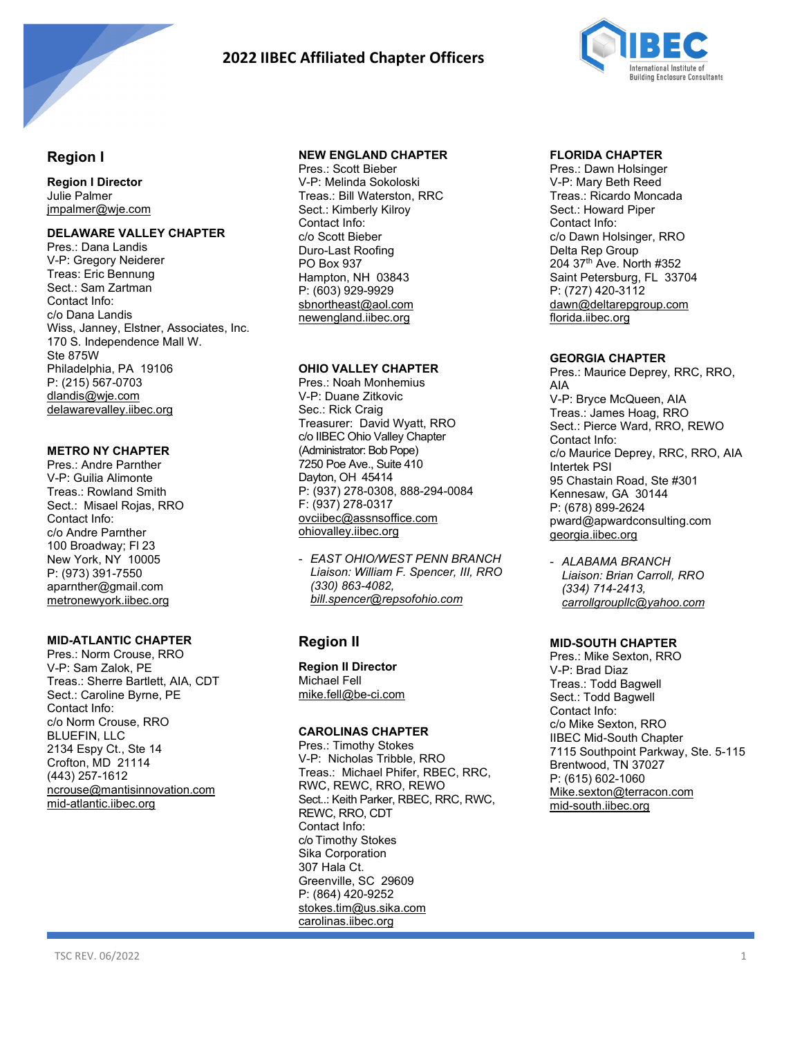

# **2022 IIBEC Affiliated Chapter Officers**



## **Region I**

**Region I Director** Julie Palmer [jmpalmer@wje.com](file://iibec-ad1/shared/Governance/Chapters/IIBEC%20Affiliated%20Chapter%20Officers/IIBEC%20Chapter%20Officers%20and%20Info%202021/jmpalmer@wje.com)

### **DELAWARE VALLEY CHAPTER**

Pres.: Dana Landis V-P: Gregory Neiderer Treas: Eric Bennung Sect.: Sam Zartman Contact Info: c/o Dana Landis Wiss, Janney, Elstner, Associates, Inc. 170 S. Independence Mall W. Ste 875W Philadelphia, PA 19106 P: (215) 567-0703 dlandis@wje.com delawarevalley.iibec.org

## **METRO NY CHAPTER**

Pres.: Andre Parnther V-P: Guilia Alimonte Treas.: Rowland Smith Sect.: Misael Rojas, RRO Contact Info: c/o Andre Parnther 100 Broadway; Fl 23 New York, NY 10005 P: (973) 391-7550 aparnther@gmail.com metronewyork.iibec.org

## **MID-ATLANTIC CHAPTER**

Pres.: Norm Crouse, RRO V-P: Sam Zalok, PE Treas.: Sherre Bartlett, AIA, CDT Sect.: Caroline Byrne, PE Contact Info: c/o Norm Crouse, RRO BLUEFIN, LLC 2134 Espy Ct., Ste 14 Crofton, MD 21114 (443) 257-1612 [ncrouse@mantisinnovation.com](mailto:ncrouse@mantisinnovation.com)  [mid-atlantic.iibec.org](http://www.mid-atlantic.iibec.org/) 

## **NEW ENGLAND CHAPTER**

Pres.: Scott Bieber V-P: Melinda Sokoloski Treas.: Bill Waterston, RRC Sect.: Kimberly Kilroy Contact Info: c/o Scott Bieber Duro-Last Roofing PO Box 937 Hampton, NH 03843 P: (603) 929-9929 [sbnortheast@aol.com](mailto:slyons@wje.com) [newengland.iibec.org](http://www.newengland.iibec.org/)

## **OHIO VALLEY CHAPTER**

Pres.: Noah Monhemius V-P: Duane Zitkovic Sec.: Rick Craig Treasurer: David Wyatt, RRO c/o IIBEC Ohio Valley Chapter (Administrator: Bob Pope) 7250 Poe Ave., Suite 410 Dayton, OH 45414 P: (937) 278-0308, 888-294-0084 F: (937) 278-0317 [ovciibec@assnsoffice.com](mailto:ovciibec@assnsoffice.com)  [ohiovalley.iibec.org](http://www.ohiovalley.iibec.org/) 

- *EAST OHIO/WEST PENN BRANCH Liaison: William F. Spencer, III, RRO (330) 863-4082, [bill.spencer@repsofohio.com](mailto:bill.spencer@repsofohio.com)*

# **Region II**

**Region II Director** Michael Fell mike.fell@be-ci.com

## **CAROLINAS CHAPTER**

Pres.: Timothy Stokes V-P: Nicholas Tribble, RRO Treas.: Michael Phifer, RBEC, RRC, RWC, REWC, RRO, REWO Sect..: Keith Parker, RBEC, RRC, RWC, REWC, RRO, CDT Contact Info: c/o Timothy Stokes Sika Corporation 307 Hala Ct. Greenville, SC 29609 P: (864) 420-9252 [stokes.tim@us.sika.com](mailto:stokes.tim@us.sika.com)  [carolinas.iibec.org](http://www.carolinas.iibec.org/) 

## **FLORIDA CHAPTER**

Pres.: Dawn Holsinger V-P: Mary Beth Reed Treas.: Ricardo Moncada Sect.: Howard Piper Contact Info: c/o Dawn Holsinger, RRO Delta Rep Group 204 37th Ave. North #352 Saint Petersburg, FL 33704 P: (727) 420-3112 dawn@deltarepgroup.com florida.iibec.org

### **GEORGIA CHAPTER**

Pres.: Maurice Deprey, RRC, RRO, AIA V-P: Bryce McQueen, AIA Treas.: James Hoag, RRO Sect.: Pierce Ward, RRO, REWO Contact Info: c/o Maurice Deprey, RRC, RRO, AIA Intertek PSI 95 Chastain Road, Ste #301 Kennesaw, GA 30144 P: (678) 899-2624 pward@apwardconsulting.com [georgia.iibec.org](http://www.georgia.iibec.org/) 

- *ALABAMA BRANCH Liaison: Brian Carroll, RRO (334) 714-2413, [carrollgroupllc@yahoo.com](mailto:carrollgroupllc@yahoo.com)* 

## **MID-SOUTH CHAPTER**

Pres.: Mike Sexton, RRO V-P: Brad Diaz Treas.: Todd Bagwell Sect.: Todd Bagwell Contact Info: c/o Mike Sexton, RRO IIBEC Mid-South Chapter 7115 Southpoint Parkway, Ste. 5-115 Brentwood, TN 37027 P: (615) 602-1060 [Mike.sexton@terracon.com](mailto:Mike.sexton@terracon.com)  [mid-south.iibec.org](http://www.mid-south.iibec.org/)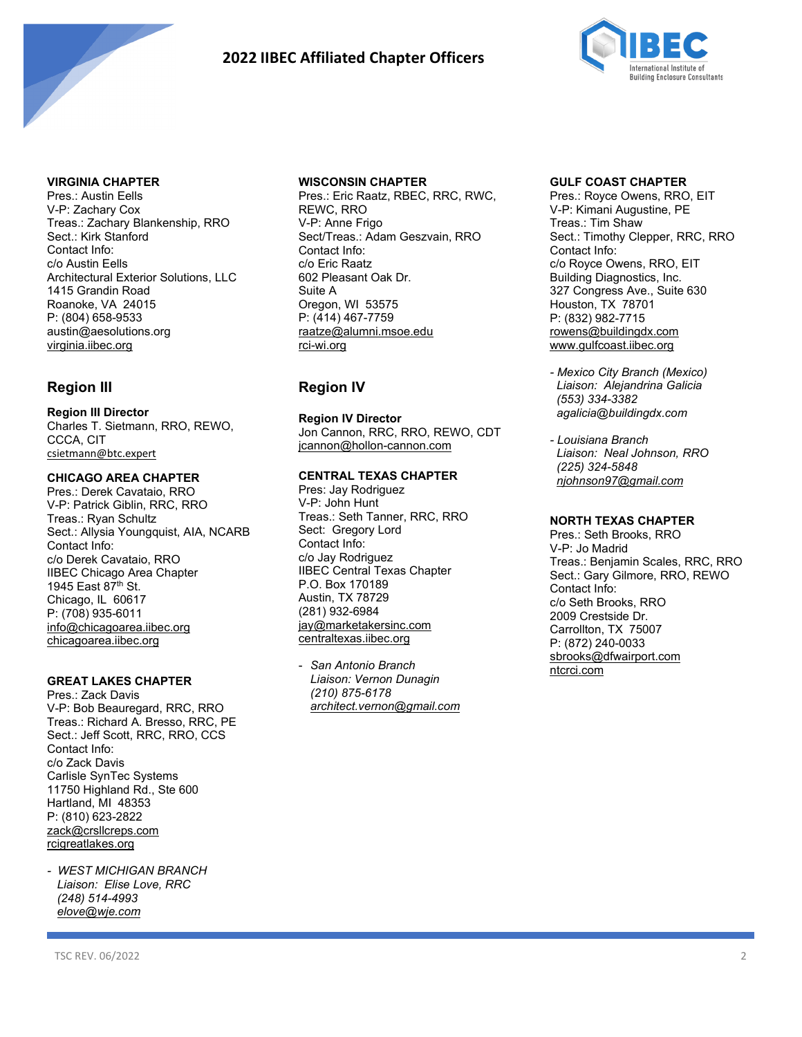

# **2022 IIBEC Affiliated Chapter Officers**



#### **VIRGINIA CHAPTER**

Pres.: Austin Eells V-P: Zachary Cox Treas.: Zachary Blankenship, RRO Sect.: Kirk Stanford Contact Info: c/o Austin Eells Architectural Exterior Solutions, LLC 1415 Grandin Road Roanoke, VA 24015 P: (804) 658-9533 austin@aesolutions.org [virginia.iibec.org](http://www.virginia.iibec.org/) 

## **Region III**

**Region III Director** Charles T. Sietmann, RRO, REWO, CCCA, CIT [csietmann@btc.expert](file://iibec-ad1/shared/Governance/Chapters/IIBEC%20Affiliated%20Chapter%20Officers/IIBEC%20Chapter%20Officers%20and%20Info%202021/csietmann@btc.expert)

#### **CHICAGO AREA CHAPTER**

Pres.: Derek Cavataio, RRO V-P: Patrick Giblin, RRC, RRO Treas.: Ryan Schultz Sect.: Allysia Youngquist, AIA, NCARB Contact Info: c/o Derek Cavataio, RRO IIBEC Chicago Area Chapter 1945 East 87th St. Chicago, IL 60617 P: (708) 935-6011 [info@chicagoarea.iibec.org](mailto:info@chicagoarea.iibec.org)  [chicagoarea.iibec.org](http://www.chicagoarea.iibec.org/) 

## **GREAT LAKES CHAPTER**

Pres.: Zack Davis V-P: Bob Beauregard, RRC, RRO Treas.: Richard A. Bresso, RRC, PE Sect.: Jeff Scott, RRC, RRO, CCS Contact Info: c/o Zack Davis Carlisle SynTec Systems 11750 Highland Rd., Ste 600 Hartland, MI 48353 P: (810) 623-2822 zack@crsllcreps.com rcigreatlakes.org

*- WEST MICHIGAN BRANCH Liaison: Elise Love, RRC (248) 514-4993 [elove@wje.com](mailto:elove@wje.com)* 

#### **WISCONSIN CHAPTER**

Pres.: Eric Raatz, RBEC, RRC, RWC, REWC, RRO V-P: Anne Frigo Sect/Treas.: Adam Geszvain, RRO Contact Info: c/o Eric Raatz 602 Pleasant Oak Dr. Suite A Oregon, WI 53575 P: (414) 467-7759 [raatze@alumni.msoe.edu](mailto:raatze@alumni.msoe.edu)  [rci-wi.org](file://rci-ad2/shared/Governance/Chapters/IIBEC%20Affiliated%20Chapter%20Officers/IIBEC%20Chapter%20Officers%20and%20info%202020/rci-wi.org) 

## **Region IV**

**Region IV Director** Jon Cannon, RRC, RRO, REWO, CDT [jcannon@hollon-cannon.com](mailto:jcannon@hollon-cannon.com) 

#### **CENTRAL TEXAS CHAPTER**

Pres: Jay Rodriguez V-P: John Hunt Treas.: Seth Tanner, RRC, RRO Sect: Gregory Lord Contact Info: c/o Jay Rodriguez IIBEC Central Texas Chapter P.O. Box 170189 Austin, TX 78729 (281) 932-6984 [jay@marketakersinc.com](mailto:jay@marketakersinc.com)  centraltexas.iibec.org

- *San Antonio Branch Liaison: Vernon Dunagin (210) 875-6178 [architect.vernon@gmail.com](mailto:architect.vernon@gmail.com)*

#### **GULF COAST CHAPTER**

Pres.: Royce Owens, RRO, EIT V-P: Kimani Augustine, PE Treas.: Tim Shaw Sect.: Timothy Clepper, RRC, RRO Contact Info: c/o Royce Owens, RRO, EIT Building Diagnostics, Inc. 327 Congress Ave., Suite 630 Houston, TX 78701 P: (832) 982-7715 [rowens@buildingdx.com](mailto:rowens@buildingdx.com)  [www.gulfcoast.iibec.org](http://www.gulfcoast.iibec.org/) 

- *Mexico City Branch (Mexico) Liaison: Alejandrina Galicia (553) 334-3382 agalicia@buildingdx.com*
- *Louisiana Branch Liaison: Neal Johnson, RRO (225) 324-5848 [njohnson97@gmail.com](mailto:njohnson97@gmail.com)*

#### **NORTH TEXAS CHAPTER**

Pres.: Seth Brooks, RRO V-P: Jo Madrid Treas.: Benjamin Scales, RRC, RRO Sect.: Gary Gilmore, RRO, REWO Contact Info: c/o Seth Brooks, RRO 2009 Crestside Dr. Carrollton, TX 75007 P: (872) 240-0033 [sbrooks@dfwairport.com](mailto:sbrooks@dfwairport.com)  [ntcrci.com](http://www.northtexas.iibec.org/)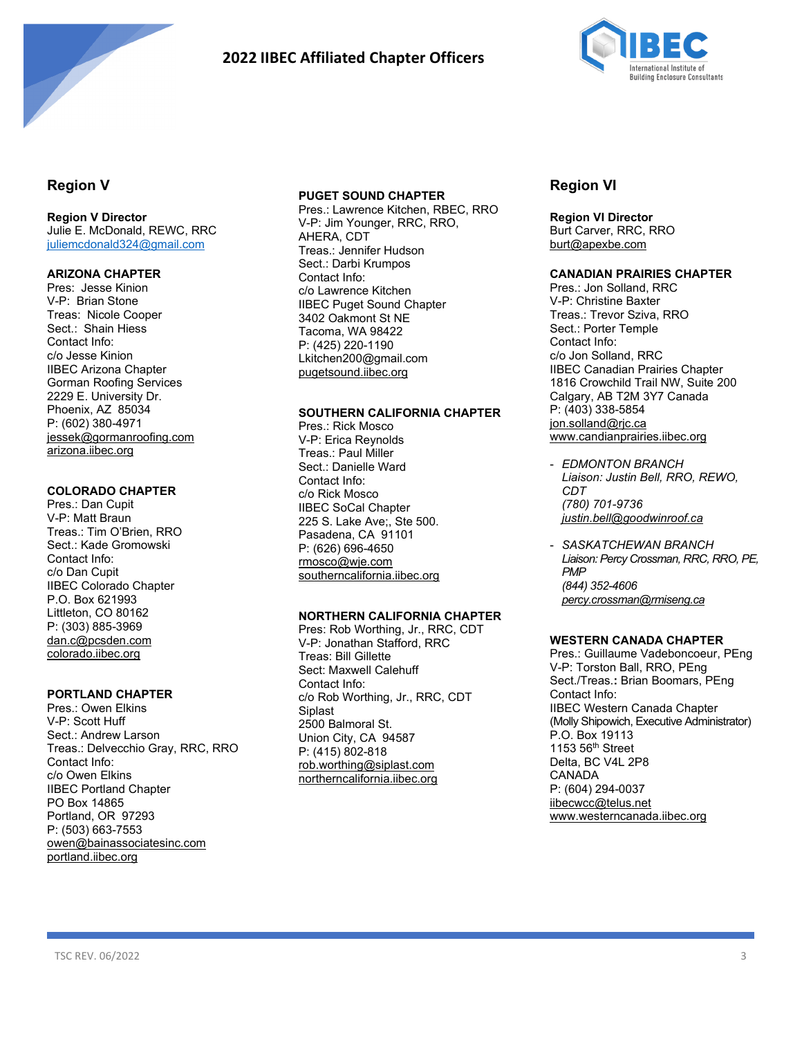

# **2022 IIBEC Affiliated Chapter Officers**



## **Region V**

## **Region V Director**

Julie E. McDonald, REWC, RRC [juliemcdonald324@gmail.com](mailto:juliemcdonald324@gmail.com) 

#### **ARIZONA CHAPTER**

Pres: Jesse Kinion V-P: Brian Stone Treas: Nicole Cooper Sect.: Shain Hiess Contact Info: c/o Jesse Kinion IIBEC Arizona Chapter Gorman Roofing Services 2229 E. University Dr. Phoenix, AZ 85034 P: (602) 380-4971 [jessek@gormanroofing.com](mailto:jessek@gormanroofing.com)  arizona.iibec.org

#### **COLORADO CHAPTER**

Pres.: Dan Cupit V-P: Matt Braun Treas.: Tim O'Brien, RRO Sect.: Kade Gromowski Contact Info: c/o Dan Cupit IIBEC Colorado Chapter P.O. Box 621993 Littleton, CO 80162 P: (303) 885-3969 [dan.c@pcsden.com](mailto:dan.c@pcsden.com)  [colorado.iibec.org](http://www.colorado.iibec.org/) 

#### **PORTLAND CHAPTER**

Pres.: Owen Elkins V-P: Scott Huff Sect.: Andrew Larson Treas.: Delvecchio Gray, RRC, RRO Contact Info: c/o Owen Elkins IIBEC Portland Chapter PO Box 14865 Portland, OR 97293 P: (503) 663-7553 [owen@bainassociatesinc.com](mailto:owen@bainassociatesinc.com)  [portland.iibec.org](http://www.portland.iibec.org/) 

#### **PUGET SOUND CHAPTER**

Pres.: Lawrence Kitchen, RBEC, RRO V-P: Jim Younger, RRC, RRO, AHERA, CDT Treas.: Jennifer Hudson Sect.: Darbi Krumpos Contact Info: c/o Lawrence Kitchen IIBEC Puget Sound Chapter 3402 Oakmont St NE Tacoma, WA 98422 P: (425) 220-1190 Lkitchen200@gmail.com [pugetsound.iibec.org](http://www.pugetsound.iibec.org/)

#### **SOUTHERN CALIFORNIA CHAPTER**

Pres.: Rick Mosco V-P: Erica Reynolds Treas.: Paul Miller Sect.: Danielle Ward Contact Info: c/o Rick Mosco IIBEC SoCal Chapter 225 S. Lake Ave;, Ste 500. Pasadena, CA 91101 P: (626) 696-4650 rmosco@wje.com [southerncalifornia.iibec.org](http://www.southerncalifornia.iibec.org/) 

#### **NORTHERN CALIFORNIA CHAPTER**

Pres: Rob Worthing, Jr., RRC, CDT V-P: Jonathan Stafford, RRC Treas: Bill Gillette Sect: Maxwell Calehuff Contact Info: c/o Rob Worthing, Jr., RRC, CDT Siplast 2500 Balmoral St. Union City, CA 94587 P: (415) 802-818 rob.worthing@siplast.com [northerncalifornia.iibec.org](http://www.northerncalifornia.iibec.org/) 

## **Region VI**

**Region VI Director** Burt Carver, RRC, RRO burt@apexbe.com

#### **CANADIAN PRAIRIES CHAPTER**

Pres.: Jon Solland, RRC V-P: Christine Baxter Treas.: Trevor Sziva, RRO Sect.: Porter Temple Contact Info: c/o Jon Solland, RRC IIBEC Canadian Prairies Chapter 1816 Crowchild Trail NW, Suite 200 Calgary, AB T2M 3Y7 Canada P: (403) 338-5854 jon.solland@rjc.ca [www.candianprairies.iibec.org](http://www.candianprairies.iibec.org/)

- *EDMONTON BRANCH Liaison: Justin Bell, RRO, REWO, CDT (780) 701-9736 justin.bell@goodwinroof.ca*
- *SASKATCHEWAN BRANCH Liaison: Percy Crossman, RRC, RRO, PE, PMP (844) 352-4606 [percy.crossman@rmiseng.ca](mailto:percy.crossman@rmiseng.ca)*

### **WESTERN CANADA CHAPTER**

Pres.: Guillaume Vadeboncoeur, PEng V-P: Torston Ball, RRO, PEng Sect./Treas.**:** Brian Boomars, PEng Contact Info: IIBEC Western Canada Chapter (Molly Shipowich, Executive Administrator) P.O. Box 19113 1153 56th Street Delta, BC V4L 2P8 CANADA P: (604) 294-0037 [iibecwcc@telus.net](mailto:iibecwcc@telus.net)  [www.westerncanada.iibec.org](http://www.rciwesterncanada.org/)